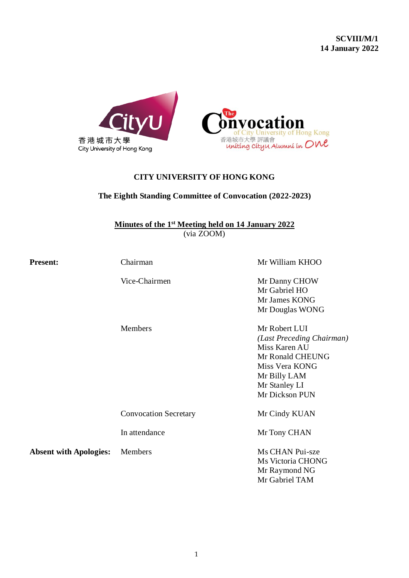

# **CITY UNIVERSITY OF HONG KONG**

# **The Eighth Standing Committee of Convocation (2022-2023)**

**Minutes of the 1 st Meeting held on 14 January 2022** (via ZOOM)

| <b>Present:</b>               | Chairman                     | Mr William KHOO           |
|-------------------------------|------------------------------|---------------------------|
|                               | Vice-Chairmen                | Mr Danny CHOW             |
|                               |                              | Mr Gabriel HO             |
|                               |                              | Mr James KONG             |
|                               |                              | Mr Douglas WONG           |
|                               | Members                      | Mr Robert LUI             |
|                               |                              | (Last Preceding Chairman) |
|                               |                              | Miss Karen AU             |
|                               |                              | Mr Ronald CHEUNG          |
|                               |                              | Miss Vera KONG            |
|                               |                              | Mr Billy LAM              |
|                               |                              | Mr Stanley LI             |
|                               |                              | Mr Dickson PUN            |
|                               | <b>Convocation Secretary</b> | Mr Cindy KUAN             |
|                               | In attendance                | Mr Tony CHAN              |
| <b>Absent with Apologies:</b> | Members                      | Ms CHAN Pui-sze           |
|                               |                              | Ms Victoria CHONG         |
|                               |                              | Mr Raymond NG             |
|                               |                              | Mr Gabriel TAM            |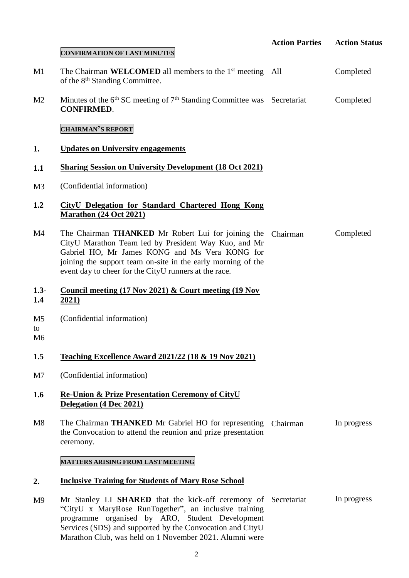|                | <b>CONFIRMATION OF LAST MINUTES</b>                                                                                                                                                                                                                                                                | <b>Action Parties</b> | <b>Action Status</b> |
|----------------|----------------------------------------------------------------------------------------------------------------------------------------------------------------------------------------------------------------------------------------------------------------------------------------------------|-----------------------|----------------------|
| M1             | The Chairman WELCOMED all members to the 1 <sup>st</sup> meeting All<br>of the 8 <sup>th</sup> Standing Committee.                                                                                                                                                                                 |                       | Completed            |
| M <sub>2</sub> | Minutes of the $6th$ SC meeting of $7th$ Standing Committee was Secretariat<br><b>CONFIRMED.</b>                                                                                                                                                                                                   |                       | Completed            |
|                | <b>CHAIRMAN'S REPORT</b>                                                                                                                                                                                                                                                                           |                       |                      |
| 1.             | <b>Updates on University engagements</b>                                                                                                                                                                                                                                                           |                       |                      |
| 1.1            | <b>Sharing Session on University Development (18 Oct 2021)</b>                                                                                                                                                                                                                                     |                       |                      |
| M3             | (Confidential information)                                                                                                                                                                                                                                                                         |                       |                      |
| 1.2            | <b>CityU Delegation for Standard Chartered Hong Kong</b><br><b>Marathon</b> (24 Oct 2021)                                                                                                                                                                                                          |                       |                      |
| M4             | The Chairman <b>THANKED</b> Mr Robert Lui for joining the<br>CityU Marathon Team led by President Way Kuo, and Mr<br>Gabriel HO, Mr James KONG and Ms Vera KONG for<br>joining the support team on-site in the early morning of the<br>event day to cheer for the CityU runners at the race.       | Chairman              | Completed            |
| $1.3 -$<br>1.4 | Council meeting $(17 \text{ Nov } 2021)$ & Court meeting $(19 \text{ Nov } 2021)$<br>2021)                                                                                                                                                                                                         |                       |                      |
| M5<br>to<br>M6 | (Confidential information)                                                                                                                                                                                                                                                                         |                       |                      |
| 1.5            | <b>Teaching Excellence Award 2021/22 (18 &amp; 19 Nov 2021)</b>                                                                                                                                                                                                                                    |                       |                      |
| M7             | (Confidential information)                                                                                                                                                                                                                                                                         |                       |                      |
| 1.6            | <b>Re-Union &amp; Prize Presentation Ceremony of CityU</b><br>Delegation (4 Dec 2021)                                                                                                                                                                                                              |                       |                      |
| M8             | The Chairman <b>THANKED</b> Mr Gabriel HO for representing<br>the Convocation to attend the reunion and prize presentation<br>ceremony.                                                                                                                                                            | Chairman              | In progress          |
|                | MATTERS ARISING FROM LAST MEETING                                                                                                                                                                                                                                                                  |                       |                      |
| 2.             | <b>Inclusive Training for Students of Mary Rose School</b>                                                                                                                                                                                                                                         |                       |                      |
| M9             | Mr Stanley LI SHARED that the kick-off ceremony of Secretariat<br>"CityU x MaryRose RunTogether", an inclusive training<br>programme organised by ARO, Student Development<br>Services (SDS) and supported by the Convocation and CityU<br>Marathon Club, was held on 1 November 2021. Alumni were |                       | In progress          |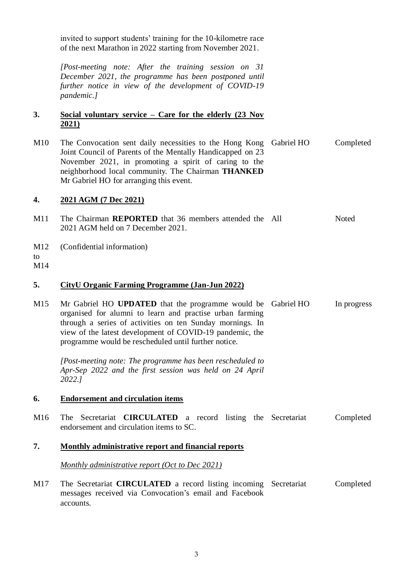|                  | invited to support students' training for the 10-kilometre race<br>of the next Marathon in 2022 starting from November 2021.                                                                                                                                                                   |             |             |
|------------------|------------------------------------------------------------------------------------------------------------------------------------------------------------------------------------------------------------------------------------------------------------------------------------------------|-------------|-------------|
|                  | [Post-meeting note: After the training session on 31<br>December 2021, the programme has been postponed until<br>further notice in view of the development of COVID-19<br><i>pandemic.]</i>                                                                                                    |             |             |
| 3.               | Social voluntary service – Care for the elderly $(23 \text{ Nov } 2)$<br><u>2021)</u>                                                                                                                                                                                                          |             |             |
| M10              | The Convocation sent daily necessities to the Hong Kong<br>Joint Council of Parents of the Mentally Handicapped on 23<br>November 2021, in promoting a spirit of caring to the<br>neighborhood local community. The Chairman THANKED<br>Mr Gabriel HO for arranging this event.                | Gabriel HO  | Completed   |
| 4.               | 2021 AGM (7 Dec 2021)                                                                                                                                                                                                                                                                          |             |             |
| M11              | The Chairman REPORTED that 36 members attended the All<br>2021 AGM held on 7 December 2021.                                                                                                                                                                                                    |             | Noted       |
| M12<br>to<br>M14 | (Confidential information)                                                                                                                                                                                                                                                                     |             |             |
|                  |                                                                                                                                                                                                                                                                                                |             |             |
| 5.               | <b>CityU Organic Farming Programme (Jan-Jun 2022)</b>                                                                                                                                                                                                                                          |             |             |
| M15              | Mr Gabriel HO UPDATED that the programme would be<br>organised for alumni to learn and practise urban farming<br>through a series of activities on ten Sunday mornings. In<br>view of the latest development of COVID-19 pandemic, the<br>programme would be rescheduled until further notice. | Gabriel HO  | In progress |
|                  | [Post-meeting note: The programme has been rescheduled to<br>Apr-Sep 2022 and the first session was held on 24 April<br>2022.1                                                                                                                                                                 |             |             |
| 6.               | <b>Endorsement and circulation items</b>                                                                                                                                                                                                                                                       |             |             |
| M <sub>16</sub>  | The Secretariat <b>CIRCULATED</b> a record listing the Secretariat<br>endorsement and circulation items to SC.                                                                                                                                                                                 |             | Completed   |
| 7.               | <b>Monthly administrative report and financial reports</b>                                                                                                                                                                                                                                     |             |             |
|                  | Monthly administrative report (Oct to Dec 2021)                                                                                                                                                                                                                                                |             |             |
| M17              | The Secretariat <b>CIRCULATED</b> a record listing incoming<br>messages received via Convocation's email and Facebook<br>accounts.                                                                                                                                                             | Secretariat | Completed   |